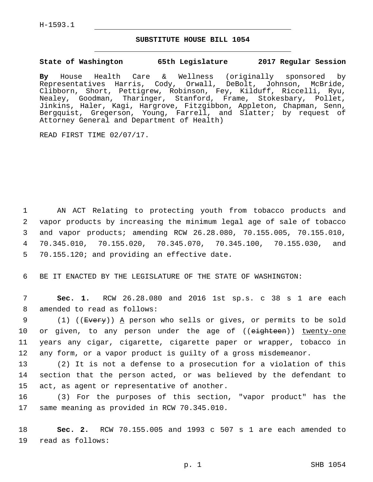H-1593.1

## **SUBSTITUTE HOUSE BILL 1054**

## **State of Washington 65th Legislature 2017 Regular Session**

**By** House Health Care & Wellness (originally sponsored by Representatives Harris, Cody, Orwall, DeBolt, Johnson, McBride, Clibborn, Short, Pettigrew, Robinson, Fey, Kilduff, Riccelli, Ryu, Nealey, Goodman, Tharinger, Stanford, Frame, Stokesbary, Pollet, Jinkins, Haler, Kagi, Hargrove, Fitzgibbon, Appleton, Chapman, Senn, Bergquist, Gregerson, Young, Farrell, and Slatter; by request of Attorney General and Department of Health)

READ FIRST TIME 02/07/17.

 AN ACT Relating to protecting youth from tobacco products and vapor products by increasing the minimum legal age of sale of tobacco and vapor products; amending RCW 26.28.080, 70.155.005, 70.155.010, 70.345.010, 70.155.020, 70.345.070, 70.345.100, 70.155.030, and 5 70.155.120; and providing an effective date.

6 BE IT ENACTED BY THE LEGISLATURE OF THE STATE OF WASHINGTON:

7 **Sec. 1.** RCW 26.28.080 and 2016 1st sp.s. c 38 s 1 are each 8 amended to read as follows:

9 (1) ((Every)) A person who sells or gives, or permits to be sold 10 or given, to any person under the age of ((eighteen)) twenty-one 11 years any cigar, cigarette, cigarette paper or wrapper, tobacco in 12 any form, or a vapor product is guilty of a gross misdemeanor.

13 (2) It is not a defense to a prosecution for a violation of this 14 section that the person acted, or was believed by the defendant to 15 act, as agent or representative of another.

16 (3) For the purposes of this section, "vapor product" has the 17 same meaning as provided in RCW 70.345.010.

18 **Sec. 2.** RCW 70.155.005 and 1993 c 507 s 1 are each amended to 19 read as follows: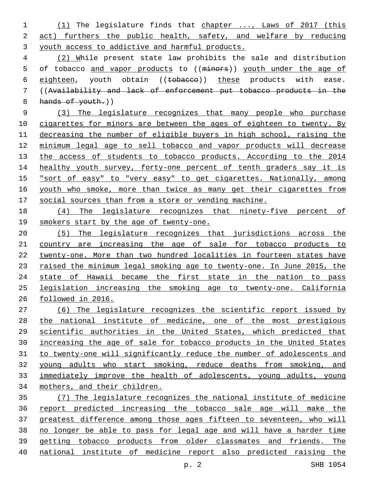(1) The legislature finds that chapter ..., Laws of 2017 (this act) furthers the public health, safety, and welfare by reducing youth access to addictive and harmful products.

 (2) While present state law prohibits the sale and distribution 5 of tobacco and vapor products to ((minors)) youth under the age of 6 eighteen, youth obtain ((tobacco)) these products with ease. ((Availability and lack of enforcement put tobacco products in the 8 hands of youth.)

 (3) The legislature recognizes that many people who purchase 10 cigarettes for minors are between the ages of eighteen to twenty. By decreasing the number of eligible buyers in high school, raising the minimum legal age to sell tobacco and vapor products will decrease 13 the access of students to tobacco products. According to the 2014 14 healthy youth survey, forty-one percent of tenth graders say it is "sort of easy" to "very easy" to get cigarettes. Nationally, among 16 youth who smoke, more than twice as many get their cigarettes from social sources than from a store or vending machine.

 (4) The legislature recognizes that ninety-five percent of smokers start by the age of twenty-one.

 (5) The legislature recognizes that jurisdictions across the country are increasing the age of sale for tobacco products to twenty-one. More than two hundred localities in fourteen states have 23 raised the minimum legal smoking age to twenty-one. In June 2015, the 24 state of Hawaii became the first state in the nation to pass legislation increasing the smoking age to twenty-one. California followed in 2016.

 (6) The legislature recognizes the scientific report issued by the national institute of medicine, one of the most prestigious scientific authorities in the United States, which predicted that increasing the age of sale for tobacco products in the United States to twenty-one will significantly reduce the number of adolescents and young adults who start smoking, reduce deaths from smoking, and immediately improve the health of adolescents, young adults, young mothers, and their children.

 (7) The legislature recognizes the national institute of medicine report predicted increasing the tobacco sale age will make the greatest difference among those ages fifteen to seventeen, who will no longer be able to pass for legal age and will have a harder time getting tobacco products from older classmates and friends. The national institute of medicine report also predicted raising the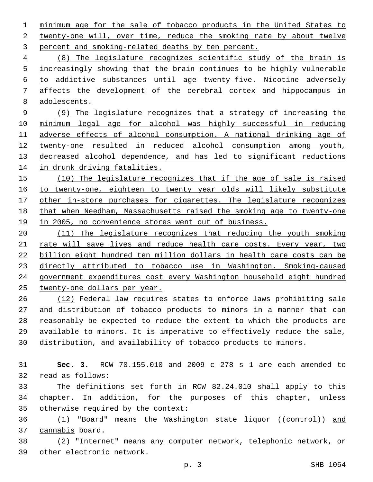minimum age for the sale of tobacco products in the United States to 2 twenty-one will, over time, reduce the smoking rate by about twelve 3 percent and smoking-related deaths by ten percent.

 (8) The legislature recognizes scientific study of the brain is 5 increasingly showing that the brain continues to be highly vulnerable to addictive substances until age twenty-five. Nicotine adversely affects the development of the cerebral cortex and hippocampus in adolescents.

 (9) The legislature recognizes that a strategy of increasing the minimum legal age for alcohol was highly successful in reducing adverse effects of alcohol consumption. A national drinking age of twenty-one resulted in reduced alcohol consumption among youth, decreased alcohol dependence, and has led to significant reductions in drunk driving fatalities.

 (10) The legislature recognizes that if the age of sale is raised to twenty-one, eighteen to twenty year olds will likely substitute 17 other in-store purchases for cigarettes. The legislature recognizes that when Needham, Massachusetts raised the smoking age to twenty-one 19 in 2005, no convenience stores went out of business.

 (11) The legislature recognizes that reducing the youth smoking 21 rate will save lives and reduce health care costs. Every year, two billion eight hundred ten million dollars in health care costs can be directly attributed to tobacco use in Washington. Smoking-caused government expenditures cost every Washington household eight hundred twenty-one dollars per year.

 (12) Federal law requires states to enforce laws prohibiting sale and distribution of tobacco products to minors in a manner that can reasonably be expected to reduce the extent to which the products are available to minors. It is imperative to effectively reduce the sale, distribution, and availability of tobacco products to minors.

 **Sec. 3.** RCW 70.155.010 and 2009 c 278 s 1 are each amended to 32 read as follows:

 The definitions set forth in RCW 82.24.010 shall apply to this chapter. In addition, for the purposes of this chapter, unless 35 otherwise required by the context:

36 (1) "Board" means the Washington state liquor ((control)) and 37 cannabis board.

 (2) "Internet" means any computer network, telephonic network, or 39 other electronic network.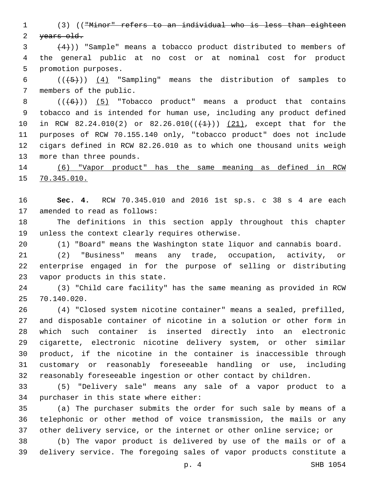(3) (("Minor" refers to an individual who is less than eighteen 2 years old.

 $(4)$ )) "Sample" means a tobacco product distributed to members of the general public at no cost or at nominal cost for product 5 promotion purposes.

6  $((+5))$   $(4)$  "Sampling" means the distribution of samples to 7 members of the public.

 $((+6))$   $(5)$  "Tobacco product" means a product that contains tobacco and is intended for human use, including any product defined 10 in RCW 82.24.010(2) or 82.26.010( $(\frac{1}{1})$ )  $(21)$ , except that for the purposes of RCW 70.155.140 only, "tobacco product" does not include cigars defined in RCW 82.26.010 as to which one thousand units weigh 13 more than three pounds.

 (6) "Vapor product" has the same meaning as defined in RCW 70.345.010.

 **Sec. 4.** RCW 70.345.010 and 2016 1st sp.s. c 38 s 4 are each 17 amended to read as follows:

 The definitions in this section apply throughout this chapter 19 unless the context clearly requires otherwise.

(1) "Board" means the Washington state liquor and cannabis board.

 (2) "Business" means any trade, occupation, activity, or enterprise engaged in for the purpose of selling or distributing 23 vapor products in this state.

 (3) "Child care facility" has the same meaning as provided in RCW 70.140.020.25

 (4) "Closed system nicotine container" means a sealed, prefilled, and disposable container of nicotine in a solution or other form in which such container is inserted directly into an electronic cigarette, electronic nicotine delivery system, or other similar product, if the nicotine in the container is inaccessible through customary or reasonably foreseeable handling or use, including reasonably foreseeable ingestion or other contact by children.

 (5) "Delivery sale" means any sale of a vapor product to a 34 purchaser in this state where either:

 (a) The purchaser submits the order for such sale by means of a telephonic or other method of voice transmission, the mails or any other delivery service, or the internet or other online service; or

 (b) The vapor product is delivered by use of the mails or of a delivery service. The foregoing sales of vapor products constitute a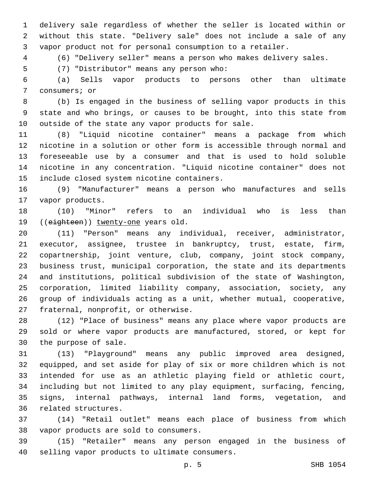delivery sale regardless of whether the seller is located within or without this state. "Delivery sale" does not include a sale of any vapor product not for personal consumption to a retailer.

(6) "Delivery seller" means a person who makes delivery sales.

(7) "Distributor" means any person who:5

 (a) Sells vapor products to persons other than ultimate 7 consumers; or

 (b) Is engaged in the business of selling vapor products in this state and who brings, or causes to be brought, into this state from 10 outside of the state any vapor products for sale.

 (8) "Liquid nicotine container" means a package from which nicotine in a solution or other form is accessible through normal and foreseeable use by a consumer and that is used to hold soluble nicotine in any concentration. "Liquid nicotine container" does not 15 include closed system nicotine containers.

 (9) "Manufacturer" means a person who manufactures and sells 17 vapor products.

 (10) "Minor" refers to an individual who is less than 19 ((eighteen)) twenty-one years old.

 (11) "Person" means any individual, receiver, administrator, executor, assignee, trustee in bankruptcy, trust, estate, firm, copartnership, joint venture, club, company, joint stock company, business trust, municipal corporation, the state and its departments and institutions, political subdivision of the state of Washington, corporation, limited liability company, association, society, any group of individuals acting as a unit, whether mutual, cooperative, 27 fraternal, nonprofit, or otherwise.

 (12) "Place of business" means any place where vapor products are sold or where vapor products are manufactured, stored, or kept for 30 the purpose of sale.

 (13) "Playground" means any public improved area designed, equipped, and set aside for play of six or more children which is not intended for use as an athletic playing field or athletic court, including but not limited to any play equipment, surfacing, fencing, signs, internal pathways, internal land forms, vegetation, and 36 related structures.

 (14) "Retail outlet" means each place of business from which 38 vapor products are sold to consumers.

 (15) "Retailer" means any person engaged in the business of 40 selling vapor products to ultimate consumers.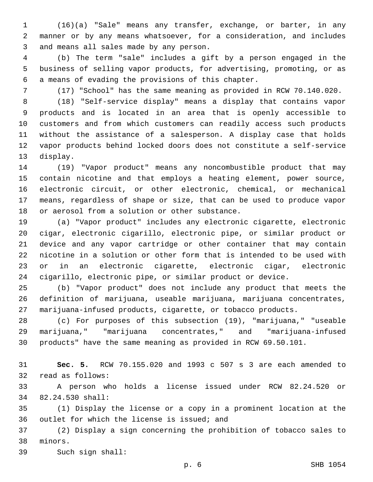(16)(a) "Sale" means any transfer, exchange, or barter, in any manner or by any means whatsoever, for a consideration, and includes 3 and means all sales made by any person.

 (b) The term "sale" includes a gift by a person engaged in the business of selling vapor products, for advertising, promoting, or as 6 a means of evading the provisions of this chapter.

(17) "School" has the same meaning as provided in RCW 70.140.020.

 (18) "Self-service display" means a display that contains vapor products and is located in an area that is openly accessible to customers and from which customers can readily access such products without the assistance of a salesperson. A display case that holds vapor products behind locked doors does not constitute a self-service 13 display.

 (19) "Vapor product" means any noncombustible product that may contain nicotine and that employs a heating element, power source, electronic circuit, or other electronic, chemical, or mechanical means, regardless of shape or size, that can be used to produce vapor 18 or aerosol from a solution or other substance.

 (a) "Vapor product" includes any electronic cigarette, electronic cigar, electronic cigarillo, electronic pipe, or similar product or device and any vapor cartridge or other container that may contain nicotine in a solution or other form that is intended to be used with or in an electronic cigarette, electronic cigar, electronic cigarillo, electronic pipe, or similar product or device.

 (b) "Vapor product" does not include any product that meets the definition of marijuana, useable marijuana, marijuana concentrates, marijuana-infused products, cigarette, or tobacco products.

 (c) For purposes of this subsection (19), "marijuana," "useable marijuana," "marijuana concentrates," and "marijuana-infused products" have the same meaning as provided in RCW 69.50.101.

 **Sec. 5.** RCW 70.155.020 and 1993 c 507 s 3 are each amended to 32 read as follows:

 A person who holds a license issued under RCW 82.24.520 or 82.24.530 shall:34

 (1) Display the license or a copy in a prominent location at the 36 outlet for which the license is issued; and

 (2) Display a sign concerning the prohibition of tobacco sales to 38 minors.

39 Such sign shall: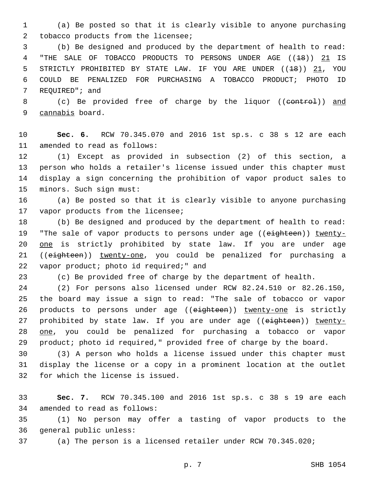1 (a) Be posted so that it is clearly visible to anyone purchasing 2 tobacco products from the licensee;

3 (b) Be designed and produced by the department of health to read: 4 "THE SALE OF TOBACCO PRODUCTS TO PERSONS UNDER AGE ((18)) 21 IS 5 STRICTLY PROHIBITED BY STATE LAW. IF YOU ARE UNDER ((<del>18</del>)) 21, YOU 6 COULD BE PENALIZED FOR PURCHASING A TOBACCO PRODUCT; PHOTO ID 7 REQUIRED"; and

8 (c) Be provided free of charge by the liquor ((control)) and 9 cannabis board.

10 **Sec. 6.** RCW 70.345.070 and 2016 1st sp.s. c 38 s 12 are each 11 amended to read as follows:

 (1) Except as provided in subsection (2) of this section, a person who holds a retailer's license issued under this chapter must display a sign concerning the prohibition of vapor product sales to 15 minors. Such sign must:

16 (a) Be posted so that it is clearly visible to anyone purchasing 17 vapor products from the licensee;

18 (b) Be designed and produced by the department of health to read: 19 "The sale of vapor products to persons under age ((eighteen)) twenty-20 one is strictly prohibited by state law. If you are under age 21 ((eighteen)) twenty-one, you could be penalized for purchasing a 22 vapor product; photo id required;" and

23 (c) Be provided free of charge by the department of health.

 (2) For persons also licensed under RCW 82.24.510 or 82.26.150, the board may issue a sign to read: "The sale of tobacco or vapor 26 products to persons under age ((eighteen)) twenty-one is strictly 27 prohibited by state law. If you are under age ((eighteen)) twenty- one, you could be penalized for purchasing a tobacco or vapor product; photo id required," provided free of charge by the board.

30 (3) A person who holds a license issued under this chapter must 31 display the license or a copy in a prominent location at the outlet 32 for which the license is issued.

33 **Sec. 7.** RCW 70.345.100 and 2016 1st sp.s. c 38 s 19 are each 34 amended to read as follows:

35 (1) No person may offer a tasting of vapor products to the 36 general public unless:

37 (a) The person is a licensed retailer under RCW 70.345.020;

p. 7 SHB 1054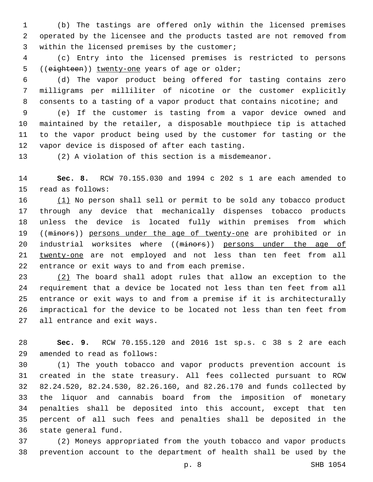(b) The tastings are offered only within the licensed premises operated by the licensee and the products tasted are not removed from 3 within the licensed premises by the customer;

 (c) Entry into the licensed premises is restricted to persons 5 ((eighteen)) twenty-one years of age or older;

 (d) The vapor product being offered for tasting contains zero milligrams per milliliter of nicotine or the customer explicitly consents to a tasting of a vapor product that contains nicotine; and

 (e) If the customer is tasting from a vapor device owned and maintained by the retailer, a disposable mouthpiece tip is attached to the vapor product being used by the customer for tasting or the 12 vapor device is disposed of after each tasting.

(2) A violation of this section is a misdemeanor.

 **Sec. 8.** RCW 70.155.030 and 1994 c 202 s 1 are each amended to 15 read as follows:

 (1) No person shall sell or permit to be sold any tobacco product through any device that mechanically dispenses tobacco products unless the device is located fully within premises from which 19 ((minors)) persons under the age of twenty-one are prohibited or in 20 industrial worksites where ((minors)) persons under the age of twenty-one are not employed and not less than ten feet from all 22 entrance or exit ways to and from each premise.

 (2) The board shall adopt rules that allow an exception to the requirement that a device be located not less than ten feet from all entrance or exit ways to and from a premise if it is architecturally impractical for the device to be located not less than ten feet from 27 all entrance and exit ways.

 **Sec. 9.** RCW 70.155.120 and 2016 1st sp.s. c 38 s 2 are each amended to read as follows:29

 (1) The youth tobacco and vapor products prevention account is created in the state treasury. All fees collected pursuant to RCW 82.24.520, 82.24.530, 82.26.160, and 82.26.170 and funds collected by the liquor and cannabis board from the imposition of monetary penalties shall be deposited into this account, except that ten percent of all such fees and penalties shall be deposited in the 36 state general fund.

 (2) Moneys appropriated from the youth tobacco and vapor products prevention account to the department of health shall be used by the

p. 8 SHB 1054